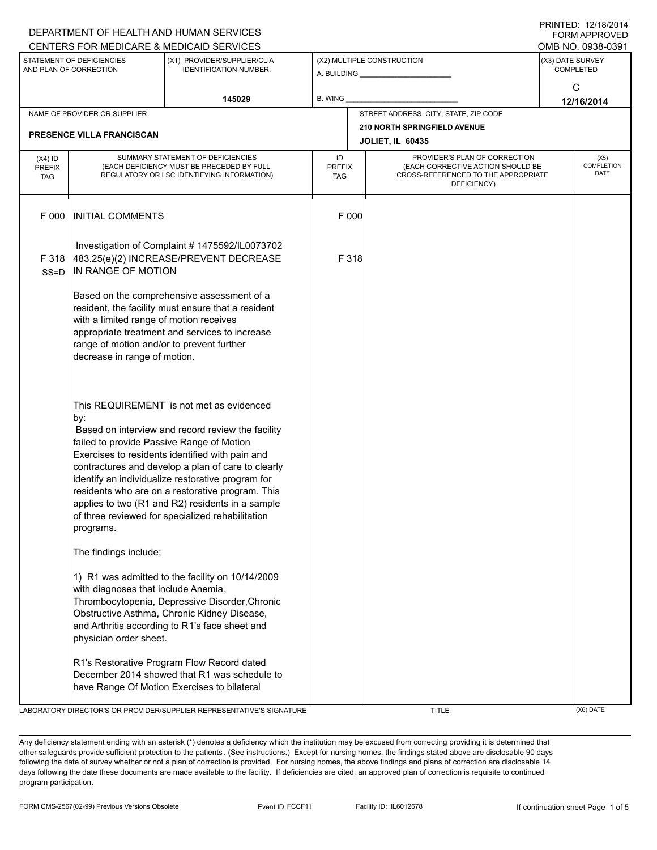|                                                     |                                                                                                                                                                                                                                                                                                                                                                                                                                                                                                                                                                                                                                                                                                                                                                        | DEPARTMENT OF HEALTH AND HUMAN SERVICES                                                                                                                                                             |                                   |                                                       |                                                                                                                          |                            | <b>FORM APPROVED</b> |
|-----------------------------------------------------|------------------------------------------------------------------------------------------------------------------------------------------------------------------------------------------------------------------------------------------------------------------------------------------------------------------------------------------------------------------------------------------------------------------------------------------------------------------------------------------------------------------------------------------------------------------------------------------------------------------------------------------------------------------------------------------------------------------------------------------------------------------------|-----------------------------------------------------------------------------------------------------------------------------------------------------------------------------------------------------|-----------------------------------|-------------------------------------------------------|--------------------------------------------------------------------------------------------------------------------------|----------------------------|----------------------|
|                                                     |                                                                                                                                                                                                                                                                                                                                                                                                                                                                                                                                                                                                                                                                                                                                                                        | CENTERS FOR MEDICARE & MEDICAID SERVICES                                                                                                                                                            |                                   |                                                       |                                                                                                                          |                            | OMB NO. 0938-0391    |
| STATEMENT OF DEFICIENCIES<br>AND PLAN OF CORRECTION |                                                                                                                                                                                                                                                                                                                                                                                                                                                                                                                                                                                                                                                                                                                                                                        | (X1) PROVIDER/SUPPLIER/CLIA<br><b>IDENTIFICATION NUMBER:</b>                                                                                                                                        |                                   | (X2) MULTIPLE CONSTRUCTION<br>A. BUILDING A. BUILDING | (X3) DATE SURVEY<br><b>COMPLETED</b>                                                                                     |                            |                      |
| 145029                                              |                                                                                                                                                                                                                                                                                                                                                                                                                                                                                                                                                                                                                                                                                                                                                                        |                                                                                                                                                                                                     | B. WING                           |                                                       |                                                                                                                          |                            | C<br>12/16/2014      |
|                                                     | NAME OF PROVIDER OR SUPPLIER                                                                                                                                                                                                                                                                                                                                                                                                                                                                                                                                                                                                                                                                                                                                           |                                                                                                                                                                                                     |                                   |                                                       | STREET ADDRESS, CITY, STATE, ZIP CODE                                                                                    |                            |                      |
|                                                     | PRESENCE VILLA FRANCISCAN                                                                                                                                                                                                                                                                                                                                                                                                                                                                                                                                                                                                                                                                                                                                              |                                                                                                                                                                                                     |                                   |                                                       | 210 NORTH SPRINGFIELD AVENUE<br><b>JOLIET, IL 60435</b>                                                                  |                            |                      |
| $(X4)$ ID<br><b>PREFIX</b><br><b>TAG</b>            | SUMMARY STATEMENT OF DEFICIENCIES<br>(EACH DEFICIENCY MUST BE PRECEDED BY FULL<br>REGULATORY OR LSC IDENTIFYING INFORMATION)                                                                                                                                                                                                                                                                                                                                                                                                                                                                                                                                                                                                                                           |                                                                                                                                                                                                     | ID<br><b>PREFIX</b><br><b>TAG</b> |                                                       | PROVIDER'S PLAN OF CORRECTION<br>(EACH CORRECTIVE ACTION SHOULD BE<br>CROSS-REFERENCED TO THE APPROPRIATE<br>DEFICIENCY) | (X5)<br>COMPLETION<br>DATE |                      |
| F 000                                               | <b>INITIAL COMMENTS</b>                                                                                                                                                                                                                                                                                                                                                                                                                                                                                                                                                                                                                                                                                                                                                |                                                                                                                                                                                                     |                                   | F 000                                                 |                                                                                                                          |                            |                      |
| F 318<br>$SS = D$                                   | IN RANGE OF MOTION                                                                                                                                                                                                                                                                                                                                                                                                                                                                                                                                                                                                                                                                                                                                                     | Investigation of Complaint # 1475592/IL0073702<br>483.25(e)(2) INCREASE/PREVENT DECREASE                                                                                                            |                                   | F 318                                                 |                                                                                                                          |                            |                      |
|                                                     | Based on the comprehensive assessment of a<br>resident, the facility must ensure that a resident<br>with a limited range of motion receives<br>appropriate treatment and services to increase<br>range of motion and/or to prevent further<br>decrease in range of motion.<br>This REQUIREMENT is not met as evidenced<br>by:<br>Based on interview and record review the facility<br>failed to provide Passive Range of Motion<br>Exercises to residents identified with pain and<br>contractures and develop a plan of care to clearly<br>identify an individualize restorative program for<br>residents who are on a restorative program. This<br>applies to two (R1 and R2) residents in a sample<br>of three reviewed for specialized rehabilitation<br>programs. |                                                                                                                                                                                                     |                                   |                                                       |                                                                                                                          |                            |                      |
|                                                     |                                                                                                                                                                                                                                                                                                                                                                                                                                                                                                                                                                                                                                                                                                                                                                        |                                                                                                                                                                                                     |                                   |                                                       |                                                                                                                          |                            |                      |
|                                                     | The findings include;                                                                                                                                                                                                                                                                                                                                                                                                                                                                                                                                                                                                                                                                                                                                                  |                                                                                                                                                                                                     |                                   |                                                       |                                                                                                                          |                            |                      |
|                                                     | with diagnoses that include Anemia,<br>physician order sheet.                                                                                                                                                                                                                                                                                                                                                                                                                                                                                                                                                                                                                                                                                                          | 1) R1 was admitted to the facility on 10/14/2009<br>Thrombocytopenia, Depressive Disorder, Chronic<br>Obstructive Asthma, Chronic Kidney Disease,<br>and Arthritis according to R1's face sheet and |                                   |                                                       |                                                                                                                          |                            |                      |
|                                                     |                                                                                                                                                                                                                                                                                                                                                                                                                                                                                                                                                                                                                                                                                                                                                                        | R1's Restorative Program Flow Record dated<br>December 2014 showed that R1 was schedule to<br>have Range Of Motion Exercises to bilateral                                                           |                                   |                                                       |                                                                                                                          |                            |                      |

LABORATORY DIRECTOR'S OR PROVIDER/SUPPLIER REPRESENTATIVE'S SIGNATURE THE TITLE THE TITLE (X6) DATE

PRINTED: 12/18/2014

Any deficiency statement ending with an asterisk (\*) denotes a deficiency which the institution may be excused from correcting providing it is determined that other safeguards provide sufficient protection to the patients . (See instructions.) Except for nursing homes, the findings stated above are disclosable 90 days following the date of survey whether or not a plan of correction is provided. For nursing homes, the above findings and plans of correction are disclosable 14 days following the date these documents are made available to the facility. If deficiencies are cited, an approved plan of correction is requisite to continued program participation.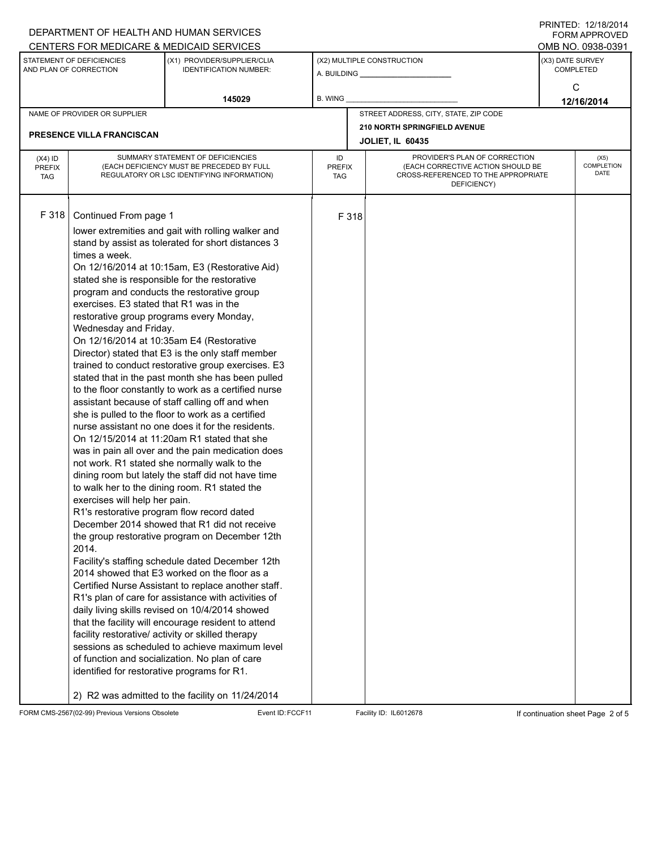|                                                     |                                                                                                                              | DEPARTMENT OF HEALTH AND HUMAN SERVICES                                                                                                                                                                                                                                                                                                                                                                                                                                                                                                                                                                                                                                                                                                                                                                                                                                                                                                                                                                                                                                                                                                                                                                                                                                                                                                                                                                                                                                                                                                                                                                                                                                                                                                                              |         |                             |                                                                                                                          |                                      | <b>FORM APPROVED</b>       |
|-----------------------------------------------------|------------------------------------------------------------------------------------------------------------------------------|----------------------------------------------------------------------------------------------------------------------------------------------------------------------------------------------------------------------------------------------------------------------------------------------------------------------------------------------------------------------------------------------------------------------------------------------------------------------------------------------------------------------------------------------------------------------------------------------------------------------------------------------------------------------------------------------------------------------------------------------------------------------------------------------------------------------------------------------------------------------------------------------------------------------------------------------------------------------------------------------------------------------------------------------------------------------------------------------------------------------------------------------------------------------------------------------------------------------------------------------------------------------------------------------------------------------------------------------------------------------------------------------------------------------------------------------------------------------------------------------------------------------------------------------------------------------------------------------------------------------------------------------------------------------------------------------------------------------------------------------------------------------|---------|-----------------------------|--------------------------------------------------------------------------------------------------------------------------|--------------------------------------|----------------------------|
|                                                     |                                                                                                                              | CENTERS FOR MEDICARE & MEDICAID SERVICES                                                                                                                                                                                                                                                                                                                                                                                                                                                                                                                                                                                                                                                                                                                                                                                                                                                                                                                                                                                                                                                                                                                                                                                                                                                                                                                                                                                                                                                                                                                                                                                                                                                                                                                             |         |                             |                                                                                                                          |                                      | OMB NO. 0938-0391          |
| STATEMENT OF DEFICIENCIES<br>AND PLAN OF CORRECTION |                                                                                                                              | (X1) PROVIDER/SUPPLIER/CLIA<br><b>IDENTIFICATION NUMBER:</b>                                                                                                                                                                                                                                                                                                                                                                                                                                                                                                                                                                                                                                                                                                                                                                                                                                                                                                                                                                                                                                                                                                                                                                                                                                                                                                                                                                                                                                                                                                                                                                                                                                                                                                         |         |                             | (X2) MULTIPLE CONSTRUCTION<br>A. BUILDING A. BUILDING                                                                    | (X3) DATE SURVEY<br><b>COMPLETED</b> |                            |
|                                                     |                                                                                                                              | 145029                                                                                                                                                                                                                                                                                                                                                                                                                                                                                                                                                                                                                                                                                                                                                                                                                                                                                                                                                                                                                                                                                                                                                                                                                                                                                                                                                                                                                                                                                                                                                                                                                                                                                                                                                               | B. WING |                             |                                                                                                                          | C<br>12/16/2014                      |                            |
|                                                     | NAME OF PROVIDER OR SUPPLIER                                                                                                 |                                                                                                                                                                                                                                                                                                                                                                                                                                                                                                                                                                                                                                                                                                                                                                                                                                                                                                                                                                                                                                                                                                                                                                                                                                                                                                                                                                                                                                                                                                                                                                                                                                                                                                                                                                      |         |                             | STREET ADDRESS, CITY, STATE, ZIP CODE                                                                                    |                                      |                            |
|                                                     | PRESENCE VILLA FRANCISCAN                                                                                                    |                                                                                                                                                                                                                                                                                                                                                                                                                                                                                                                                                                                                                                                                                                                                                                                                                                                                                                                                                                                                                                                                                                                                                                                                                                                                                                                                                                                                                                                                                                                                                                                                                                                                                                                                                                      |         |                             | 210 NORTH SPRINGFIELD AVENUE<br><b>JOLIET, IL 60435</b>                                                                  |                                      |                            |
| $(X4)$ ID<br><b>PREFIX</b><br><b>TAG</b>            | SUMMARY STATEMENT OF DEFICIENCIES<br>(EACH DEFICIENCY MUST BE PRECEDED BY FULL<br>REGULATORY OR LSC IDENTIFYING INFORMATION) |                                                                                                                                                                                                                                                                                                                                                                                                                                                                                                                                                                                                                                                                                                                                                                                                                                                                                                                                                                                                                                                                                                                                                                                                                                                                                                                                                                                                                                                                                                                                                                                                                                                                                                                                                                      |         | <b>PREFIX</b><br><b>TAG</b> | PROVIDER'S PLAN OF CORRECTION<br>(EACH CORRECTIVE ACTION SHOULD BE<br>CROSS-REFERENCED TO THE APPROPRIATE<br>DEFICIENCY) |                                      | (X5)<br>COMPLETION<br>DATE |
| F 318                                               | times a week.<br>2014.<br>identified for restorative programs for R1.<br>2) R2 was admitted to the facility on 11/24/2014    | Continued From page 1<br>lower extremities and gait with rolling walker and<br>stand by assist as tolerated for short distances 3<br>On 12/16/2014 at 10:15am, E3 (Restorative Aid)<br>stated she is responsible for the restorative<br>program and conducts the restorative group<br>exercises. E3 stated that R1 was in the<br>restorative group programs every Monday,<br>Wednesday and Friday.<br>On 12/16/2014 at 10:35am E4 (Restorative<br>Director) stated that E3 is the only staff member<br>trained to conduct restorative group exercises. E3<br>stated that in the past month she has been pulled<br>to the floor constantly to work as a certified nurse<br>assistant because of staff calling off and when<br>she is pulled to the floor to work as a certified<br>nurse assistant no one does it for the residents.<br>On 12/15/2014 at 11:20am R1 stated that she<br>was in pain all over and the pain medication does<br>not work. R1 stated she normally walk to the<br>dining room but lately the staff did not have time<br>to walk her to the dining room. R1 stated the<br>exercises will help her pain.<br>R1's restorative program flow record dated<br>December 2014 showed that R1 did not receive<br>the group restorative program on December 12th<br>Facility's staffing schedule dated December 12th<br>2014 showed that E3 worked on the floor as a<br>Certified Nurse Assistant to replace another staff.<br>R1's plan of care for assistance with activities of<br>daily living skills revised on 10/4/2014 showed<br>that the facility will encourage resident to attend<br>facility restorative/ activity or skilled therapy<br>sessions as scheduled to achieve maximum level<br>of function and socialization. No plan of care |         | F 318                       |                                                                                                                          |                                      |                            |

FORM CMS-2567(02-99) Previous Versions Obsolete Event ID:FCCF11 Facility ID: IL6012678 If continuation sheet Page 2 of 5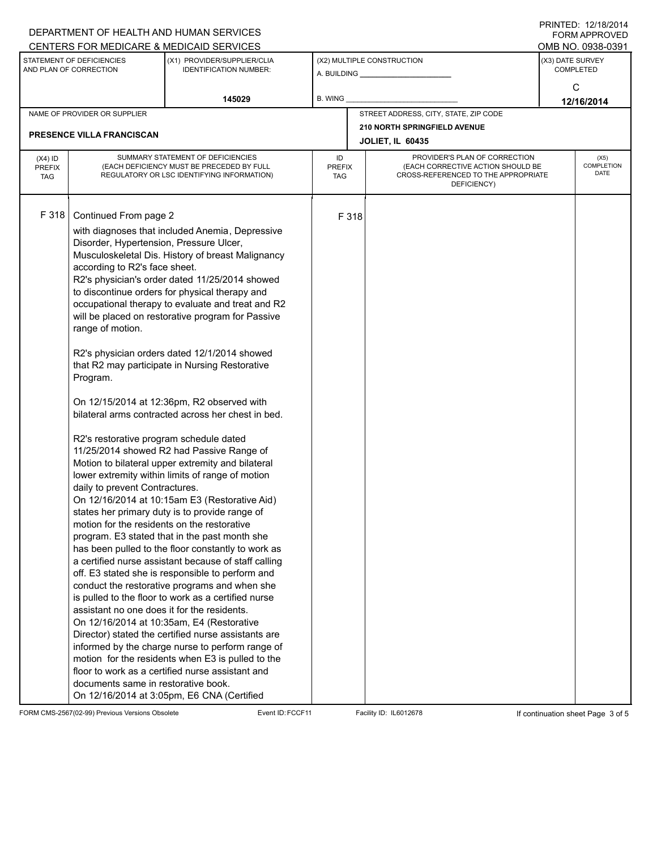|                                                     |                                                                                                                                                                                                                                                                                                                                                                                                                                                                                                                                                                                                                                                                                                                                                                                                                                                                                                                                                                                                                                                                                                                                                                                                                                                                                                                                                                                                                                                                                                                                                                                                                                           | DEPARTMENT OF HEALTH AND HUMAN SERVICES<br>CENTERS FOR MEDICARE & MEDICAID SERVICES |                                   |                            |                                                                                                                          |                 | FININILU. IZIIOIZVI <del>4</del><br><b>FORM APPROVED</b><br>OMB NO. 0938-0391 |  |
|-----------------------------------------------------|-------------------------------------------------------------------------------------------------------------------------------------------------------------------------------------------------------------------------------------------------------------------------------------------------------------------------------------------------------------------------------------------------------------------------------------------------------------------------------------------------------------------------------------------------------------------------------------------------------------------------------------------------------------------------------------------------------------------------------------------------------------------------------------------------------------------------------------------------------------------------------------------------------------------------------------------------------------------------------------------------------------------------------------------------------------------------------------------------------------------------------------------------------------------------------------------------------------------------------------------------------------------------------------------------------------------------------------------------------------------------------------------------------------------------------------------------------------------------------------------------------------------------------------------------------------------------------------------------------------------------------------------|-------------------------------------------------------------------------------------|-----------------------------------|----------------------------|--------------------------------------------------------------------------------------------------------------------------|-----------------|-------------------------------------------------------------------------------|--|
| STATEMENT OF DEFICIENCIES<br>AND PLAN OF CORRECTION |                                                                                                                                                                                                                                                                                                                                                                                                                                                                                                                                                                                                                                                                                                                                                                                                                                                                                                                                                                                                                                                                                                                                                                                                                                                                                                                                                                                                                                                                                                                                                                                                                                           | (X1) PROVIDER/SUPPLIER/CLIA<br><b>IDENTIFICATION NUMBER:</b>                        |                                   | (X2) MULTIPLE CONSTRUCTION |                                                                                                                          |                 | (X3) DATE SURVEY<br><b>COMPLETED</b>                                          |  |
|                                                     |                                                                                                                                                                                                                                                                                                                                                                                                                                                                                                                                                                                                                                                                                                                                                                                                                                                                                                                                                                                                                                                                                                                                                                                                                                                                                                                                                                                                                                                                                                                                                                                                                                           | 145029                                                                              | <b>B. WING</b>                    |                            |                                                                                                                          | C<br>12/16/2014 |                                                                               |  |
|                                                     | NAME OF PROVIDER OR SUPPLIER                                                                                                                                                                                                                                                                                                                                                                                                                                                                                                                                                                                                                                                                                                                                                                                                                                                                                                                                                                                                                                                                                                                                                                                                                                                                                                                                                                                                                                                                                                                                                                                                              |                                                                                     |                                   |                            | STREET ADDRESS, CITY, STATE, ZIP CODE                                                                                    |                 |                                                                               |  |
|                                                     | PRESENCE VILLA FRANCISCAN                                                                                                                                                                                                                                                                                                                                                                                                                                                                                                                                                                                                                                                                                                                                                                                                                                                                                                                                                                                                                                                                                                                                                                                                                                                                                                                                                                                                                                                                                                                                                                                                                 |                                                                                     |                                   |                            | 210 NORTH SPRINGFIELD AVENUE<br><b>JOLIET, IL 60435</b>                                                                  |                 |                                                                               |  |
| $(X4)$ ID<br><b>PREFIX</b><br><b>TAG</b>            | SUMMARY STATEMENT OF DEFICIENCIES<br>(EACH DEFICIENCY MUST BE PRECEDED BY FULL<br>REGULATORY OR LSC IDENTIFYING INFORMATION)                                                                                                                                                                                                                                                                                                                                                                                                                                                                                                                                                                                                                                                                                                                                                                                                                                                                                                                                                                                                                                                                                                                                                                                                                                                                                                                                                                                                                                                                                                              |                                                                                     | ID<br><b>PREFIX</b><br><b>TAG</b> |                            | PROVIDER'S PLAN OF CORRECTION<br>(EACH CORRECTIVE ACTION SHOULD BE<br>CROSS-REFERENCED TO THE APPROPRIATE<br>DEFICIENCY) |                 | (X5)<br>COMPLETION<br><b>DATE</b>                                             |  |
| F 318                                               | Continued From page 2<br>with diagnoses that included Anemia, Depressive<br>Disorder, Hypertension, Pressure Ulcer,<br>Musculoskeletal Dis. History of breast Malignancy<br>according to R2's face sheet.<br>R2's physician's order dated 11/25/2014 showed<br>to discontinue orders for physical therapy and<br>occupational therapy to evaluate and treat and R2<br>will be placed on restorative program for Passive<br>range of motion.<br>R2's physician orders dated 12/1/2014 showed<br>that R2 may participate in Nursing Restorative<br>Program.<br>On 12/15/2014 at 12:36pm, R2 observed with<br>bilateral arms contracted across her chest in bed.<br>R2's restorative program schedule dated<br>11/25/2014 showed R2 had Passive Range of<br>Motion to bilateral upper extremity and bilateral<br>lower extremity within limits of range of motion<br>daily to prevent Contractures.<br>On 12/16/2014 at 10:15am E3 (Restorative Aid)<br>states her primary duty is to provide range of<br>motion for the residents on the restorative<br>program. E3 stated that in the past month she<br>has been pulled to the floor constantly to work as<br>a certified nurse assistant because of staff calling<br>off. E3 stated she is responsible to perform and<br>conduct the restorative programs and when she<br>is pulled to the floor to work as a certified nurse<br>assistant no one does it for the residents.<br>On 12/16/2014 at 10:35am, E4 (Restorative<br>Director) stated the certified nurse assistants are<br>informed by the charge nurse to perform range of<br>motion for the residents when E3 is pulled to the |                                                                                     |                                   | F 318                      |                                                                                                                          |                 |                                                                               |  |

FORM CMS-2567(02-99) Previous Versions Obsolete Event ID:FCCF11 Facility ID: IL6012678 If continuation sheet Page 3 of 5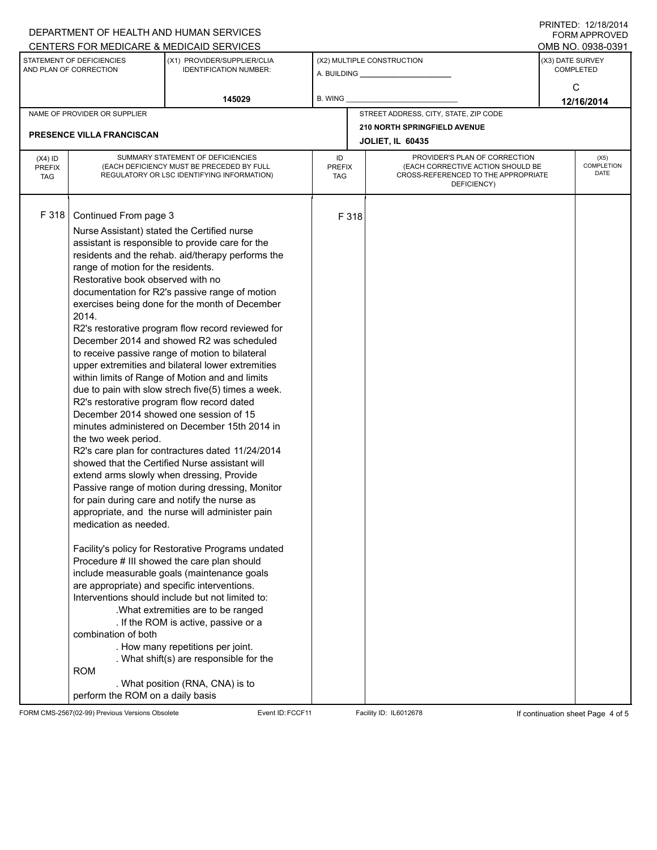|                                                     |                                                                                                                                                                                                                                                                                                                                                                                                                                                                                                                                                                                                                                                                                                                                                                                                                                                                                                                                                                                                                                                                                                                                                                                                                                                                                                                                                                                                                                                                                                                                                                                                                                                                                             | DEPARTMENT OF HEALTH AND HUMAN SERVICES                      |                            |                            |                                                                                                                          |                                      | $1 \times 1 \times 1 = 1$ . $1 \times 1 \times 1 = 1$<br>FORM APPROVED |
|-----------------------------------------------------|---------------------------------------------------------------------------------------------------------------------------------------------------------------------------------------------------------------------------------------------------------------------------------------------------------------------------------------------------------------------------------------------------------------------------------------------------------------------------------------------------------------------------------------------------------------------------------------------------------------------------------------------------------------------------------------------------------------------------------------------------------------------------------------------------------------------------------------------------------------------------------------------------------------------------------------------------------------------------------------------------------------------------------------------------------------------------------------------------------------------------------------------------------------------------------------------------------------------------------------------------------------------------------------------------------------------------------------------------------------------------------------------------------------------------------------------------------------------------------------------------------------------------------------------------------------------------------------------------------------------------------------------------------------------------------------------|--------------------------------------------------------------|----------------------------|----------------------------|--------------------------------------------------------------------------------------------------------------------------|--------------------------------------|------------------------------------------------------------------------|
|                                                     |                                                                                                                                                                                                                                                                                                                                                                                                                                                                                                                                                                                                                                                                                                                                                                                                                                                                                                                                                                                                                                                                                                                                                                                                                                                                                                                                                                                                                                                                                                                                                                                                                                                                                             | CENTERS FOR MEDICARE & MEDICAID SERVICES                     |                            |                            |                                                                                                                          |                                      | OMB NO. 0938-0391                                                      |
| STATEMENT OF DEFICIENCIES<br>AND PLAN OF CORRECTION |                                                                                                                                                                                                                                                                                                                                                                                                                                                                                                                                                                                                                                                                                                                                                                                                                                                                                                                                                                                                                                                                                                                                                                                                                                                                                                                                                                                                                                                                                                                                                                                                                                                                                             | (X1) PROVIDER/SUPPLIER/CLIA<br><b>IDENTIFICATION NUMBER:</b> |                            | (X2) MULTIPLE CONSTRUCTION |                                                                                                                          | (X3) DATE SURVEY<br><b>COMPLETED</b> |                                                                        |
|                                                     |                                                                                                                                                                                                                                                                                                                                                                                                                                                                                                                                                                                                                                                                                                                                                                                                                                                                                                                                                                                                                                                                                                                                                                                                                                                                                                                                                                                                                                                                                                                                                                                                                                                                                             | 145029                                                       | B. WING                    |                            |                                                                                                                          | C<br>12/16/2014                      |                                                                        |
|                                                     | NAME OF PROVIDER OR SUPPLIER                                                                                                                                                                                                                                                                                                                                                                                                                                                                                                                                                                                                                                                                                                                                                                                                                                                                                                                                                                                                                                                                                                                                                                                                                                                                                                                                                                                                                                                                                                                                                                                                                                                                |                                                              |                            |                            | STREET ADDRESS, CITY, STATE, ZIP CODE                                                                                    |                                      |                                                                        |
|                                                     | <b>PRESENCE VILLA FRANCISCAN</b>                                                                                                                                                                                                                                                                                                                                                                                                                                                                                                                                                                                                                                                                                                                                                                                                                                                                                                                                                                                                                                                                                                                                                                                                                                                                                                                                                                                                                                                                                                                                                                                                                                                            |                                                              |                            |                            | 210 NORTH SPRINGFIELD AVENUE<br><b>JOLIET, IL 60435</b>                                                                  |                                      |                                                                        |
|                                                     |                                                                                                                                                                                                                                                                                                                                                                                                                                                                                                                                                                                                                                                                                                                                                                                                                                                                                                                                                                                                                                                                                                                                                                                                                                                                                                                                                                                                                                                                                                                                                                                                                                                                                             |                                                              |                            |                            |                                                                                                                          |                                      |                                                                        |
| $(X4)$ ID<br><b>PREFIX</b><br><b>TAG</b>            | SUMMARY STATEMENT OF DEFICIENCIES<br>(EACH DEFICIENCY MUST BE PRECEDED BY FULL<br>REGULATORY OR LSC IDENTIFYING INFORMATION)                                                                                                                                                                                                                                                                                                                                                                                                                                                                                                                                                                                                                                                                                                                                                                                                                                                                                                                                                                                                                                                                                                                                                                                                                                                                                                                                                                                                                                                                                                                                                                |                                                              | ID<br><b>PREFIX</b><br>TAG |                            | PROVIDER'S PLAN OF CORRECTION<br>(EACH CORRECTIVE ACTION SHOULD BE<br>CROSS-REFERENCED TO THE APPROPRIATE<br>DEFICIENCY) | (X5)<br>COMPLETION<br>DATE           |                                                                        |
| F 318                                               | Continued From page 3<br>Nurse Assistant) stated the Certified nurse<br>assistant is responsible to provide care for the<br>residents and the rehab. aid/therapy performs the<br>range of motion for the residents.<br>Restorative book observed with no<br>documentation for R2's passive range of motion<br>exercises being done for the month of December<br>2014.<br>R2's restorative program flow record reviewed for<br>December 2014 and showed R2 was scheduled<br>to receive passive range of motion to bilateral<br>upper extremities and bilateral lower extremities<br>within limits of Range of Motion and and limits<br>due to pain with slow strech five(5) times a week.<br>R2's restorative program flow record dated<br>December 2014 showed one session of 15<br>minutes administered on December 15th 2014 in<br>the two week period.<br>R2's care plan for contractures dated 11/24/2014<br>showed that the Certified Nurse assistant will<br>extend arms slowly when dressing, Provide<br>Passive range of motion during dressing, Monitor<br>for pain during care and notify the nurse as<br>appropriate, and the nurse will administer pain<br>medication as needed.<br>Facility's policy for Restorative Programs undated<br>Procedure # III showed the care plan should<br>include measurable goals (maintenance goals<br>are appropriate) and specific interventions.<br>Interventions should include but not limited to:<br>.What extremities are to be ranged<br>. If the ROM is active, passive or a<br>combination of both<br>. How many repetitions per joint.<br>. What shift(s) are responsible for the<br><b>ROM</b><br>. What position (RNA, CNA) is to |                                                              |                            | F 318                      |                                                                                                                          |                                      |                                                                        |
|                                                     | perform the ROM on a daily basis                                                                                                                                                                                                                                                                                                                                                                                                                                                                                                                                                                                                                                                                                                                                                                                                                                                                                                                                                                                                                                                                                                                                                                                                                                                                                                                                                                                                                                                                                                                                                                                                                                                            |                                                              |                            |                            |                                                                                                                          |                                      |                                                                        |

FORM CMS-2567(02-99) Previous Versions Obsolete Event ID:FCCF11 Facility ID: IL6012678 If continuation sheet Page 4 of 5